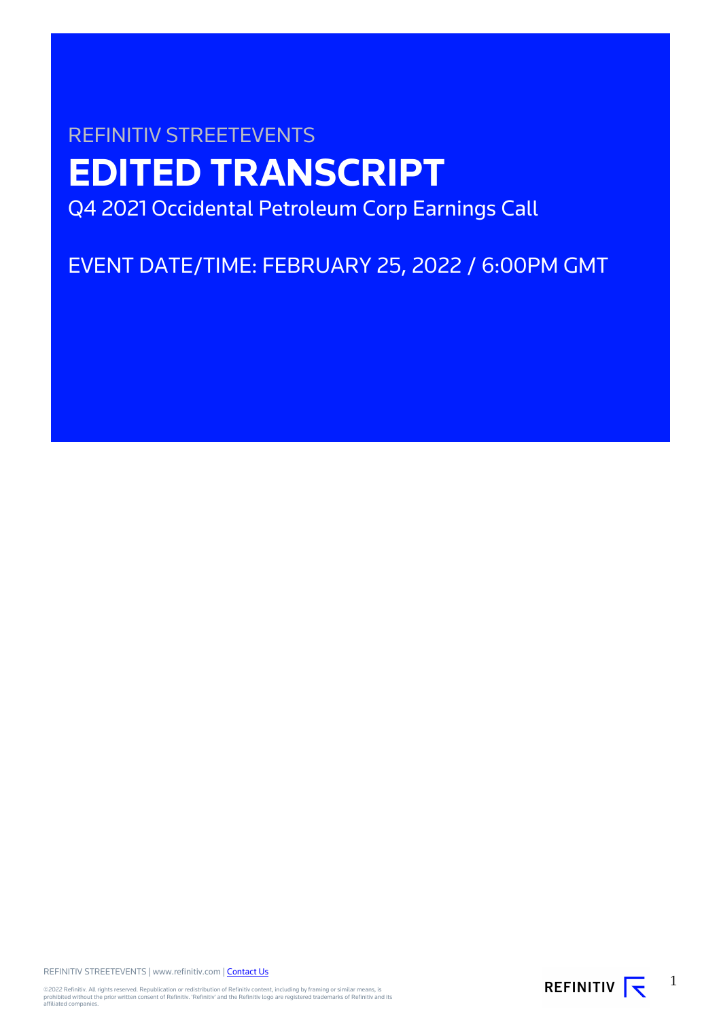# REFINITIV STREETEVENTS **EDITED TRANSCRIPT** Q4 2021 Occidental Petroleum Corp Earnings Call

EVENT DATE/TIME: FEBRUARY 25, 2022 / 6:00PM GMT

REFINITIV STREETEVENTS | www.refinitiv.com | [Contact Us](https://www.refinitiv.com/en/contact-us)

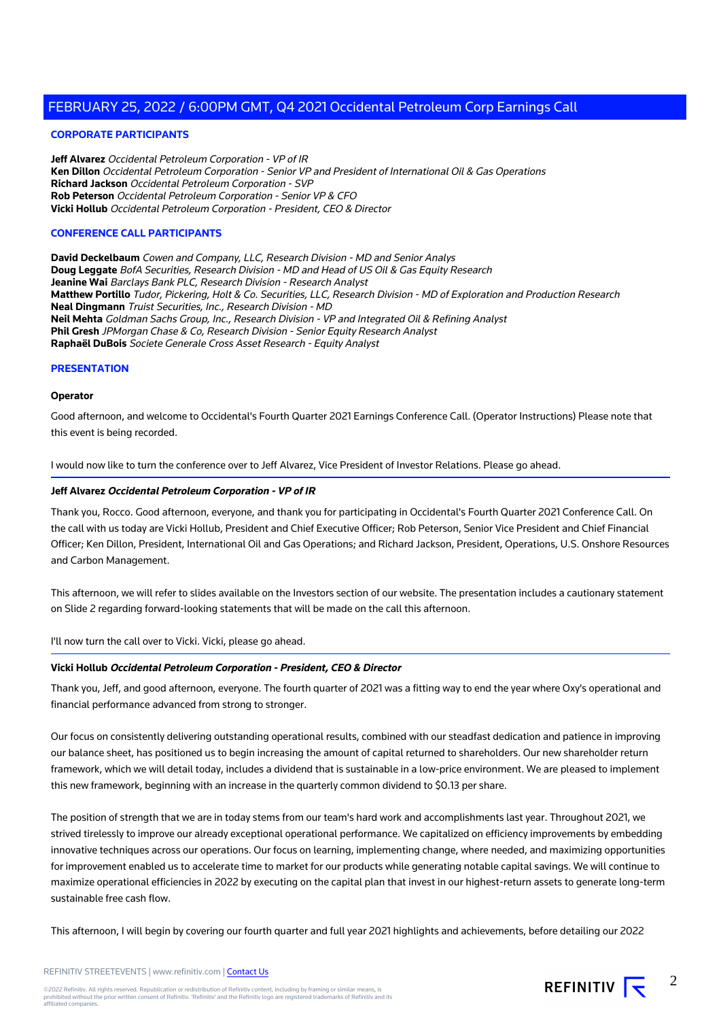## **CORPORATE PARTICIPANTS**

**Jeff Alvarez** Occidental Petroleum Corporation - VP of IR **Ken Dillon** Occidental Petroleum Corporation - Senior VP and President of International Oil & Gas Operations **Richard Jackson** Occidental Petroleum Corporation - SVP **Rob Peterson** Occidental Petroleum Corporation - Senior VP & CFO **Vicki Hollub** Occidental Petroleum Corporation - President, CEO & Director

#### **CONFERENCE CALL PARTICIPANTS**

**David Deckelbaum** Cowen and Company, LLC, Research Division - MD and Senior Analys **Doug Leggate** BofA Securities, Research Division - MD and Head of US Oil & Gas Equity Research **Jeanine Wai** Barclays Bank PLC, Research Division - Research Analyst **Matthew Portillo** Tudor, Pickering, Holt & Co. Securities, LLC, Research Division - MD of Exploration and Production Research **Neal Dingmann** Truist Securities, Inc., Research Division - MD **Neil Mehta** Goldman Sachs Group, Inc., Research Division - VP and Integrated Oil & Refining Analyst **Phil Gresh** JPMorgan Chase & Co, Research Division - Senior Equity Research Analyst **Raphaël DuBois** Societe Generale Cross Asset Research - Equity Analyst

#### **PRESENTATION**

#### **Operator**

Good afternoon, and welcome to Occidental's Fourth Quarter 2021 Earnings Conference Call. (Operator Instructions) Please note that this event is being recorded.

I would now like to turn the conference over to Jeff Alvarez, Vice President of Investor Relations. Please go ahead.

#### **Jeff Alvarez Occidental Petroleum Corporation - VP of IR**

Thank you, Rocco. Good afternoon, everyone, and thank you for participating in Occidental's Fourth Quarter 2021 Conference Call. On the call with us today are Vicki Hollub, President and Chief Executive Officer; Rob Peterson, Senior Vice President and Chief Financial Officer; Ken Dillon, President, International Oil and Gas Operations; and Richard Jackson, President, Operations, U.S. Onshore Resources and Carbon Management.

This afternoon, we will refer to slides available on the Investors section of our website. The presentation includes a cautionary statement on Slide 2 regarding forward-looking statements that will be made on the call this afternoon.

I'll now turn the call over to Vicki. Vicki, please go ahead.

## **Vicki Hollub Occidental Petroleum Corporation - President, CEO & Director**

Thank you, Jeff, and good afternoon, everyone. The fourth quarter of 2021 was a fitting way to end the year where Oxy's operational and financial performance advanced from strong to stronger.

Our focus on consistently delivering outstanding operational results, combined with our steadfast dedication and patience in improving our balance sheet, has positioned us to begin increasing the amount of capital returned to shareholders. Our new shareholder return framework, which we will detail today, includes a dividend that is sustainable in a low-price environment. We are pleased to implement this new framework, beginning with an increase in the quarterly common dividend to \$0.13 per share.

The position of strength that we are in today stems from our team's hard work and accomplishments last year. Throughout 2021, we strived tirelessly to improve our already exceptional operational performance. We capitalized on efficiency improvements by embedding innovative techniques across our operations. Our focus on learning, implementing change, where needed, and maximizing opportunities for improvement enabled us to accelerate time to market for our products while generating notable capital savings. We will continue to maximize operational efficiencies in 2022 by executing on the capital plan that invest in our highest-return assets to generate long-term sustainable free cash flow.

This afternoon, I will begin by covering our fourth quarter and full year 2021 highlights and achievements, before detailing our 2022

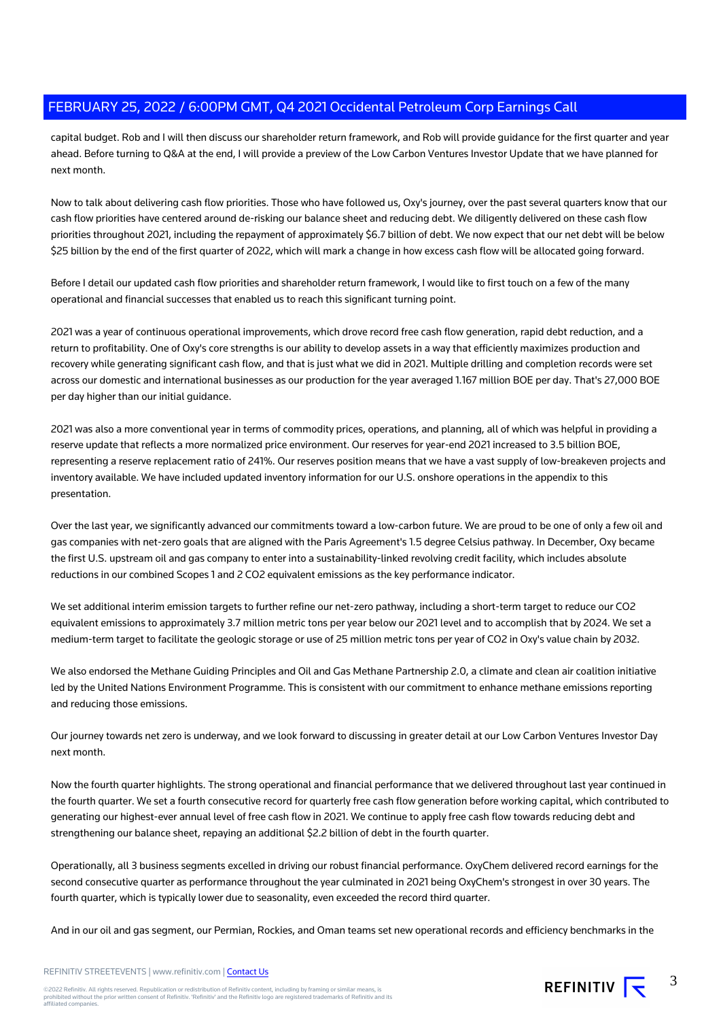capital budget. Rob and I will then discuss our shareholder return framework, and Rob will provide guidance for the first quarter and year ahead. Before turning to Q&A at the end, I will provide a preview of the Low Carbon Ventures Investor Update that we have planned for next month.

Now to talk about delivering cash flow priorities. Those who have followed us, Oxy's journey, over the past several quarters know that our cash flow priorities have centered around de-risking our balance sheet and reducing debt. We diligently delivered on these cash flow priorities throughout 2021, including the repayment of approximately \$6.7 billion of debt. We now expect that our net debt will be below \$25 billion by the end of the first quarter of 2022, which will mark a change in how excess cash flow will be allocated going forward.

Before I detail our updated cash flow priorities and shareholder return framework, I would like to first touch on a few of the many operational and financial successes that enabled us to reach this significant turning point.

2021 was a year of continuous operational improvements, which drove record free cash flow generation, rapid debt reduction, and a return to profitability. One of Oxy's core strengths is our ability to develop assets in a way that efficiently maximizes production and recovery while generating significant cash flow, and that is just what we did in 2021. Multiple drilling and completion records were set across our domestic and international businesses as our production for the year averaged 1.167 million BOE per day. That's 27,000 BOE per day higher than our initial guidance.

2021 was also a more conventional year in terms of commodity prices, operations, and planning, all of which was helpful in providing a reserve update that reflects a more normalized price environment. Our reserves for year-end 2021 increased to 3.5 billion BOE, representing a reserve replacement ratio of 241%. Our reserves position means that we have a vast supply of low-breakeven projects and inventory available. We have included updated inventory information for our U.S. onshore operations in the appendix to this presentation.

Over the last year, we significantly advanced our commitments toward a low-carbon future. We are proud to be one of only a few oil and gas companies with net-zero goals that are aligned with the Paris Agreement's 1.5 degree Celsius pathway. In December, Oxy became the first U.S. upstream oil and gas company to enter into a sustainability-linked revolving credit facility, which includes absolute reductions in our combined Scopes 1 and 2 CO2 equivalent emissions as the key performance indicator.

We set additional interim emission targets to further refine our net-zero pathway, including a short-term target to reduce our CO2 equivalent emissions to approximately 3.7 million metric tons per year below our 2021 level and to accomplish that by 2024. We set a medium-term target to facilitate the geologic storage or use of 25 million metric tons per year of CO2 in Oxy's value chain by 2032.

We also endorsed the Methane Guiding Principles and Oil and Gas Methane Partnership 2.0, a climate and clean air coalition initiative led by the United Nations Environment Programme. This is consistent with our commitment to enhance methane emissions reporting and reducing those emissions.

Our journey towards net zero is underway, and we look forward to discussing in greater detail at our Low Carbon Ventures Investor Day next month.

Now the fourth quarter highlights. The strong operational and financial performance that we delivered throughout last year continued in the fourth quarter. We set a fourth consecutive record for quarterly free cash flow generation before working capital, which contributed to generating our highest-ever annual level of free cash flow in 2021. We continue to apply free cash flow towards reducing debt and strengthening our balance sheet, repaying an additional \$2.2 billion of debt in the fourth quarter.

Operationally, all 3 business segments excelled in driving our robust financial performance. OxyChem delivered record earnings for the second consecutive quarter as performance throughout the year culminated in 2021 being OxyChem's strongest in over 30 years. The fourth quarter, which is typically lower due to seasonality, even exceeded the record third quarter.

And in our oil and gas segment, our Permian, Rockies, and Oman teams set new operational records and efficiency benchmarks in the

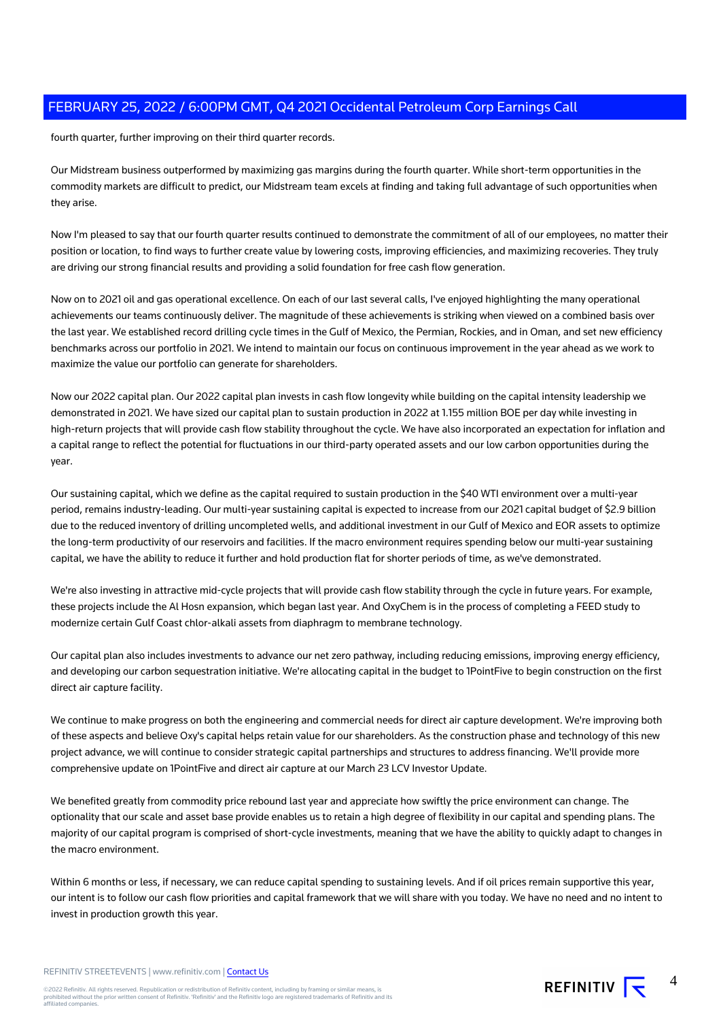fourth quarter, further improving on their third quarter records.

Our Midstream business outperformed by maximizing gas margins during the fourth quarter. While short-term opportunities in the commodity markets are difficult to predict, our Midstream team excels at finding and taking full advantage of such opportunities when they arise.

Now I'm pleased to say that our fourth quarter results continued to demonstrate the commitment of all of our employees, no matter their position or location, to find ways to further create value by lowering costs, improving efficiencies, and maximizing recoveries. They truly are driving our strong financial results and providing a solid foundation for free cash flow generation.

Now on to 2021 oil and gas operational excellence. On each of our last several calls, I've enjoyed highlighting the many operational achievements our teams continuously deliver. The magnitude of these achievements is striking when viewed on a combined basis over the last year. We established record drilling cycle times in the Gulf of Mexico, the Permian, Rockies, and in Oman, and set new efficiency benchmarks across our portfolio in 2021. We intend to maintain our focus on continuous improvement in the year ahead as we work to maximize the value our portfolio can generate for shareholders.

Now our 2022 capital plan. Our 2022 capital plan invests in cash flow longevity while building on the capital intensity leadership we demonstrated in 2021. We have sized our capital plan to sustain production in 2022 at 1.155 million BOE per day while investing in high-return projects that will provide cash flow stability throughout the cycle. We have also incorporated an expectation for inflation and a capital range to reflect the potential for fluctuations in our third-party operated assets and our low carbon opportunities during the year.

Our sustaining capital, which we define as the capital required to sustain production in the \$40 WTI environment over a multi-year period, remains industry-leading. Our multi-year sustaining capital is expected to increase from our 2021 capital budget of \$2.9 billion due to the reduced inventory of drilling uncompleted wells, and additional investment in our Gulf of Mexico and EOR assets to optimize the long-term productivity of our reservoirs and facilities. If the macro environment requires spending below our multi-year sustaining capital, we have the ability to reduce it further and hold production flat for shorter periods of time, as we've demonstrated.

We're also investing in attractive mid-cycle projects that will provide cash flow stability through the cycle in future years. For example, these projects include the Al Hosn expansion, which began last year. And OxyChem is in the process of completing a FEED study to modernize certain Gulf Coast chlor-alkali assets from diaphragm to membrane technology.

Our capital plan also includes investments to advance our net zero pathway, including reducing emissions, improving energy efficiency, and developing our carbon sequestration initiative. We're allocating capital in the budget to 1PointFive to begin construction on the first direct air capture facility.

We continue to make progress on both the engineering and commercial needs for direct air capture development. We're improving both of these aspects and believe Oxy's capital helps retain value for our shareholders. As the construction phase and technology of this new project advance, we will continue to consider strategic capital partnerships and structures to address financing. We'll provide more comprehensive update on 1PointFive and direct air capture at our March 23 LCV Investor Update.

We benefited greatly from commodity price rebound last year and appreciate how swiftly the price environment can change. The optionality that our scale and asset base provide enables us to retain a high degree of flexibility in our capital and spending plans. The majority of our capital program is comprised of short-cycle investments, meaning that we have the ability to quickly adapt to changes in the macro environment.

Within 6 months or less, if necessary, we can reduce capital spending to sustaining levels. And if oil prices remain supportive this year, our intent is to follow our cash flow priorities and capital framework that we will share with you today. We have no need and no intent to invest in production growth this year.

REFINITIV STREETEVENTS | www.refinitiv.com | [Contact Us](https://www.refinitiv.com/en/contact-us)

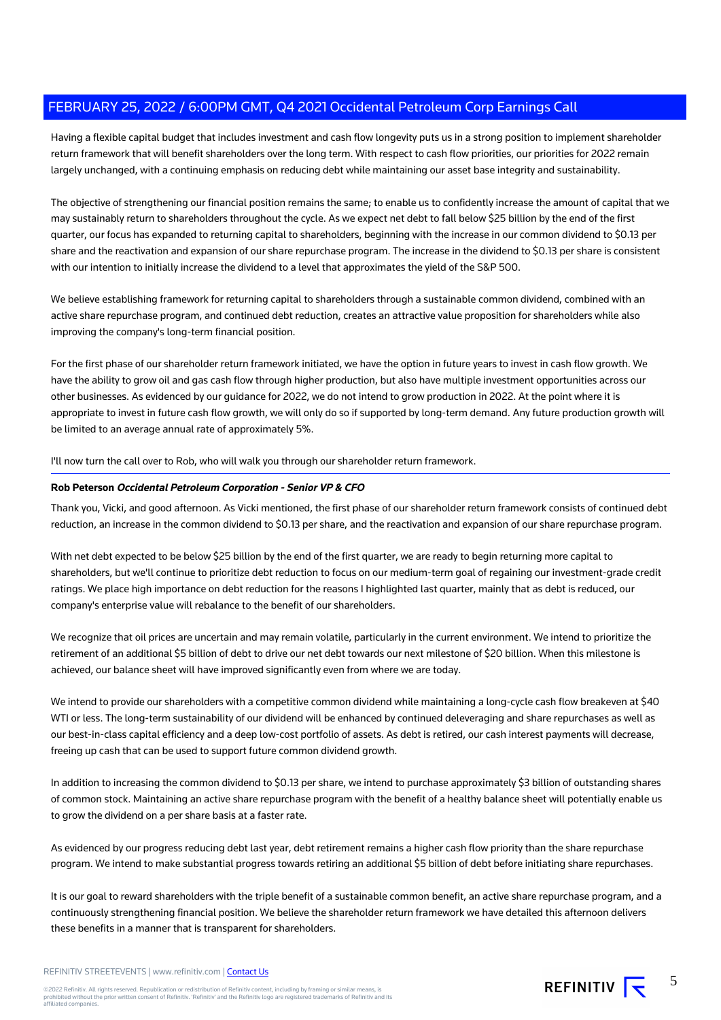Having a flexible capital budget that includes investment and cash flow longevity puts us in a strong position to implement shareholder return framework that will benefit shareholders over the long term. With respect to cash flow priorities, our priorities for 2022 remain largely unchanged, with a continuing emphasis on reducing debt while maintaining our asset base integrity and sustainability.

The objective of strengthening our financial position remains the same; to enable us to confidently increase the amount of capital that we may sustainably return to shareholders throughout the cycle. As we expect net debt to fall below \$25 billion by the end of the first quarter, our focus has expanded to returning capital to shareholders, beginning with the increase in our common dividend to \$0.13 per share and the reactivation and expansion of our share repurchase program. The increase in the dividend to \$0.13 per share is consistent with our intention to initially increase the dividend to a level that approximates the yield of the S&P 500.

We believe establishing framework for returning capital to shareholders through a sustainable common dividend, combined with an active share repurchase program, and continued debt reduction, creates an attractive value proposition for shareholders while also improving the company's long-term financial position.

For the first phase of our shareholder return framework initiated, we have the option in future years to invest in cash flow growth. We have the ability to grow oil and gas cash flow through higher production, but also have multiple investment opportunities across our other businesses. As evidenced by our guidance for 2022, we do not intend to grow production in 2022. At the point where it is appropriate to invest in future cash flow growth, we will only do so if supported by long-term demand. Any future production growth will be limited to an average annual rate of approximately 5%.

I'll now turn the call over to Rob, who will walk you through our shareholder return framework.

## **Rob Peterson Occidental Petroleum Corporation - Senior VP & CFO**

Thank you, Vicki, and good afternoon. As Vicki mentioned, the first phase of our shareholder return framework consists of continued debt reduction, an increase in the common dividend to \$0.13 per share, and the reactivation and expansion of our share repurchase program.

With net debt expected to be below \$25 billion by the end of the first quarter, we are ready to begin returning more capital to shareholders, but we'll continue to prioritize debt reduction to focus on our medium-term goal of regaining our investment-grade credit ratings. We place high importance on debt reduction for the reasons I highlighted last quarter, mainly that as debt is reduced, our company's enterprise value will rebalance to the benefit of our shareholders.

We recognize that oil prices are uncertain and may remain volatile, particularly in the current environment. We intend to prioritize the retirement of an additional \$5 billion of debt to drive our net debt towards our next milestone of \$20 billion. When this milestone is achieved, our balance sheet will have improved significantly even from where we are today.

We intend to provide our shareholders with a competitive common dividend while maintaining a long-cycle cash flow breakeven at \$40 WTI or less. The long-term sustainability of our dividend will be enhanced by continued deleveraging and share repurchases as well as our best-in-class capital efficiency and a deep low-cost portfolio of assets. As debt is retired, our cash interest payments will decrease, freeing up cash that can be used to support future common dividend growth.

In addition to increasing the common dividend to \$0.13 per share, we intend to purchase approximately \$3 billion of outstanding shares of common stock. Maintaining an active share repurchase program with the benefit of a healthy balance sheet will potentially enable us to grow the dividend on a per share basis at a faster rate.

As evidenced by our progress reducing debt last year, debt retirement remains a higher cash flow priority than the share repurchase program. We intend to make substantial progress towards retiring an additional \$5 billion of debt before initiating share repurchases.

It is our goal to reward shareholders with the triple benefit of a sustainable common benefit, an active share repurchase program, and a continuously strengthening financial position. We believe the shareholder return framework we have detailed this afternoon delivers these benefits in a manner that is transparent for shareholders.

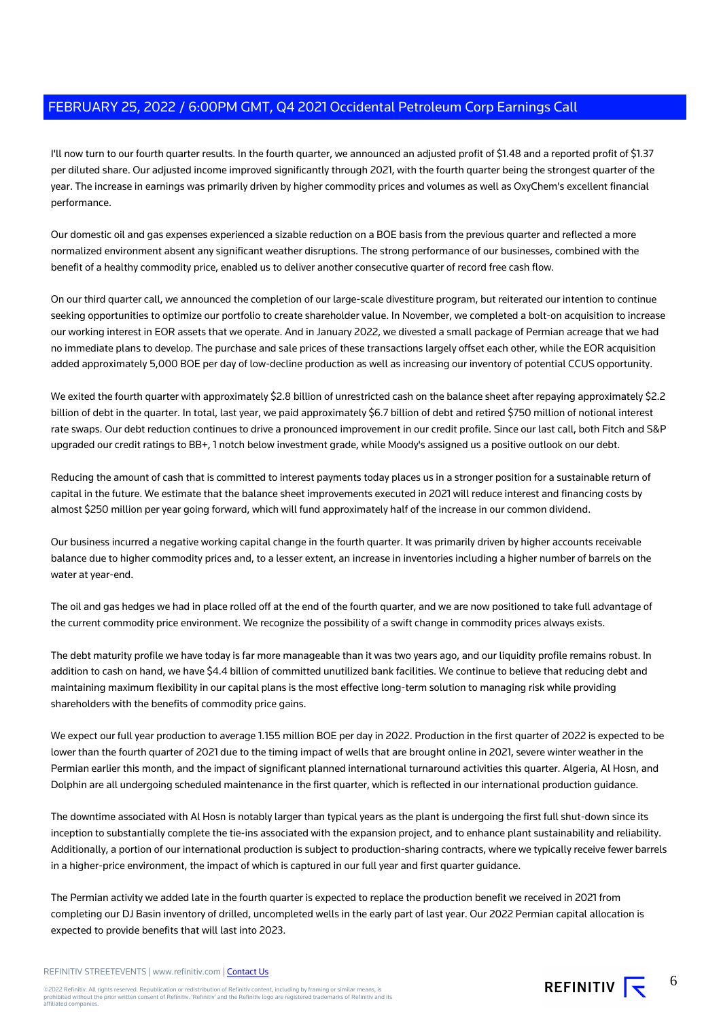I'll now turn to our fourth quarter results. In the fourth quarter, we announced an adjusted profit of \$1.48 and a reported profit of \$1.37 per diluted share. Our adjusted income improved significantly through 2021, with the fourth quarter being the strongest quarter of the year. The increase in earnings was primarily driven by higher commodity prices and volumes as well as OxyChem's excellent financial performance.

Our domestic oil and gas expenses experienced a sizable reduction on a BOE basis from the previous quarter and reflected a more normalized environment absent any significant weather disruptions. The strong performance of our businesses, combined with the benefit of a healthy commodity price, enabled us to deliver another consecutive quarter of record free cash flow.

On our third quarter call, we announced the completion of our large-scale divestiture program, but reiterated our intention to continue seeking opportunities to optimize our portfolio to create shareholder value. In November, we completed a bolt-on acquisition to increase our working interest in EOR assets that we operate. And in January 2022, we divested a small package of Permian acreage that we had no immediate plans to develop. The purchase and sale prices of these transactions largely offset each other, while the EOR acquisition added approximately 5,000 BOE per day of low-decline production as well as increasing our inventory of potential CCUS opportunity.

We exited the fourth quarter with approximately \$2.8 billion of unrestricted cash on the balance sheet after repaying approximately \$2.2 billion of debt in the quarter. In total, last year, we paid approximately \$6.7 billion of debt and retired \$750 million of notional interest rate swaps. Our debt reduction continues to drive a pronounced improvement in our credit profile. Since our last call, both Fitch and S&P upgraded our credit ratings to BB+, 1 notch below investment grade, while Moody's assigned us a positive outlook on our debt.

Reducing the amount of cash that is committed to interest payments today places us in a stronger position for a sustainable return of capital in the future. We estimate that the balance sheet improvements executed in 2021 will reduce interest and financing costs by almost \$250 million per year going forward, which will fund approximately half of the increase in our common dividend.

Our business incurred a negative working capital change in the fourth quarter. It was primarily driven by higher accounts receivable balance due to higher commodity prices and, to a lesser extent, an increase in inventories including a higher number of barrels on the water at year-end.

The oil and gas hedges we had in place rolled off at the end of the fourth quarter, and we are now positioned to take full advantage of the current commodity price environment. We recognize the possibility of a swift change in commodity prices always exists.

The debt maturity profile we have today is far more manageable than it was two years ago, and our liquidity profile remains robust. In addition to cash on hand, we have \$4.4 billion of committed unutilized bank facilities. We continue to believe that reducing debt and maintaining maximum flexibility in our capital plans is the most effective long-term solution to managing risk while providing shareholders with the benefits of commodity price gains.

We expect our full year production to average 1.155 million BOE per day in 2022. Production in the first quarter of 2022 is expected to be lower than the fourth quarter of 2021 due to the timing impact of wells that are brought online in 2021, severe winter weather in the Permian earlier this month, and the impact of significant planned international turnaround activities this quarter. Algeria, Al Hosn, and Dolphin are all undergoing scheduled maintenance in the first quarter, which is reflected in our international production guidance.

The downtime associated with Al Hosn is notably larger than typical years as the plant is undergoing the first full shut-down since its inception to substantially complete the tie-ins associated with the expansion project, and to enhance plant sustainability and reliability. Additionally, a portion of our international production is subject to production-sharing contracts, where we typically receive fewer barrels in a higher-price environment, the impact of which is captured in our full year and first quarter guidance.

The Permian activity we added late in the fourth quarter is expected to replace the production benefit we received in 2021 from completing our DJ Basin inventory of drilled, uncompleted wells in the early part of last year. Our 2022 Permian capital allocation is expected to provide benefits that will last into 2023.

#### REFINITIV STREETEVENTS | www.refinitiv.com | [Contact Us](https://www.refinitiv.com/en/contact-us)

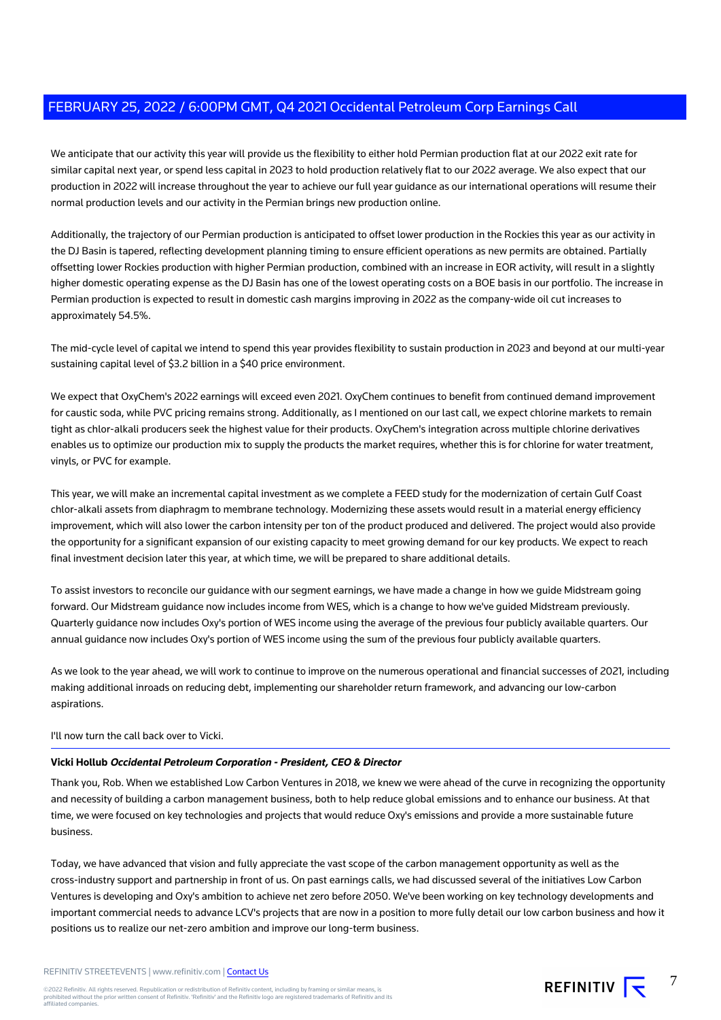We anticipate that our activity this year will provide us the flexibility to either hold Permian production flat at our 2022 exit rate for similar capital next year, or spend less capital in 2023 to hold production relatively flat to our 2022 average. We also expect that our production in 2022 will increase throughout the year to achieve our full year guidance as our international operations will resume their normal production levels and our activity in the Permian brings new production online.

Additionally, the trajectory of our Permian production is anticipated to offset lower production in the Rockies this year as our activity in the DJ Basin is tapered, reflecting development planning timing to ensure efficient operations as new permits are obtained. Partially offsetting lower Rockies production with higher Permian production, combined with an increase in EOR activity, will result in a slightly higher domestic operating expense as the DJ Basin has one of the lowest operating costs on a BOE basis in our portfolio. The increase in Permian production is expected to result in domestic cash margins improving in 2022 as the company-wide oil cut increases to approximately 54.5%.

The mid-cycle level of capital we intend to spend this year provides flexibility to sustain production in 2023 and beyond at our multi-year sustaining capital level of \$3.2 billion in a \$40 price environment.

We expect that OxyChem's 2022 earnings will exceed even 2021. OxyChem continues to benefit from continued demand improvement for caustic soda, while PVC pricing remains strong. Additionally, as I mentioned on our last call, we expect chlorine markets to remain tight as chlor-alkali producers seek the highest value for their products. OxyChem's integration across multiple chlorine derivatives enables us to optimize our production mix to supply the products the market requires, whether this is for chlorine for water treatment, vinyls, or PVC for example.

This year, we will make an incremental capital investment as we complete a FEED study for the modernization of certain Gulf Coast chlor-alkali assets from diaphragm to membrane technology. Modernizing these assets would result in a material energy efficiency improvement, which will also lower the carbon intensity per ton of the product produced and delivered. The project would also provide the opportunity for a significant expansion of our existing capacity to meet growing demand for our key products. We expect to reach final investment decision later this year, at which time, we will be prepared to share additional details.

To assist investors to reconcile our guidance with our segment earnings, we have made a change in how we guide Midstream going forward. Our Midstream guidance now includes income from WES, which is a change to how we've guided Midstream previously. Quarterly guidance now includes Oxy's portion of WES income using the average of the previous four publicly available quarters. Our annual guidance now includes Oxy's portion of WES income using the sum of the previous four publicly available quarters.

As we look to the year ahead, we will work to continue to improve on the numerous operational and financial successes of 2021, including making additional inroads on reducing debt, implementing our shareholder return framework, and advancing our low-carbon aspirations.

# I'll now turn the call back over to Vicki.

# **Vicki Hollub Occidental Petroleum Corporation - President, CEO & Director**

Thank you, Rob. When we established Low Carbon Ventures in 2018, we knew we were ahead of the curve in recognizing the opportunity and necessity of building a carbon management business, both to help reduce global emissions and to enhance our business. At that time, we were focused on key technologies and projects that would reduce Oxy's emissions and provide a more sustainable future business.

Today, we have advanced that vision and fully appreciate the vast scope of the carbon management opportunity as well as the cross-industry support and partnership in front of us. On past earnings calls, we had discussed several of the initiatives Low Carbon Ventures is developing and Oxy's ambition to achieve net zero before 2050. We've been working on key technology developments and important commercial needs to advance LCV's projects that are now in a position to more fully detail our low carbon business and how it positions us to realize our net-zero ambition and improve our long-term business.

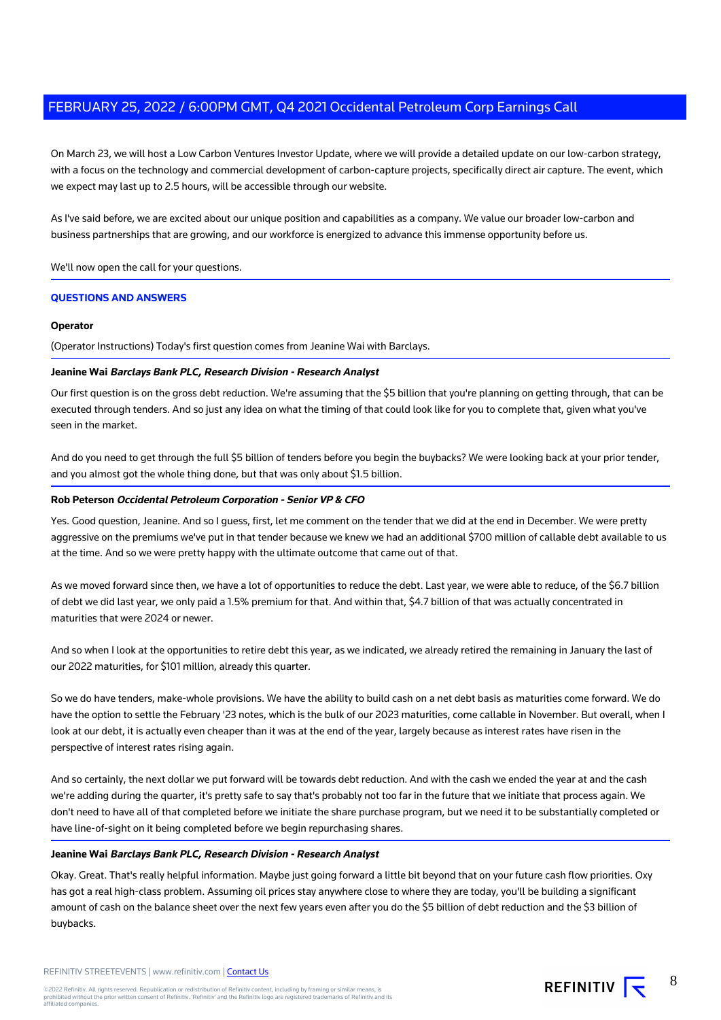On March 23, we will host a Low Carbon Ventures Investor Update, where we will provide a detailed update on our low-carbon strategy, with a focus on the technology and commercial development of carbon-capture projects, specifically direct air capture. The event, which we expect may last up to 2.5 hours, will be accessible through our website.

As I've said before, we are excited about our unique position and capabilities as a company. We value our broader low-carbon and business partnerships that are growing, and our workforce is energized to advance this immense opportunity before us.

We'll now open the call for your questions.

## **QUESTIONS AND ANSWERS**

#### **Operator**

(Operator Instructions) Today's first question comes from Jeanine Wai with Barclays.

## **Jeanine Wai Barclays Bank PLC, Research Division - Research Analyst**

Our first question is on the gross debt reduction. We're assuming that the \$5 billion that you're planning on getting through, that can be executed through tenders. And so just any idea on what the timing of that could look like for you to complete that, given what you've seen in the market.

And do you need to get through the full \$5 billion of tenders before you begin the buybacks? We were looking back at your prior tender, and you almost got the whole thing done, but that was only about \$1.5 billion.

## **Rob Peterson Occidental Petroleum Corporation - Senior VP & CFO**

Yes. Good question, Jeanine. And so I guess, first, let me comment on the tender that we did at the end in December. We were pretty aggressive on the premiums we've put in that tender because we knew we had an additional \$700 million of callable debt available to us at the time. And so we were pretty happy with the ultimate outcome that came out of that.

As we moved forward since then, we have a lot of opportunities to reduce the debt. Last year, we were able to reduce, of the \$6.7 billion of debt we did last year, we only paid a 1.5% premium for that. And within that, \$4.7 billion of that was actually concentrated in maturities that were 2024 or newer.

And so when I look at the opportunities to retire debt this year, as we indicated, we already retired the remaining in January the last of our 2022 maturities, for \$101 million, already this quarter.

So we do have tenders, make-whole provisions. We have the ability to build cash on a net debt basis as maturities come forward. We do have the option to settle the February '23 notes, which is the bulk of our 2023 maturities, come callable in November. But overall, when I look at our debt, it is actually even cheaper than it was at the end of the year, largely because as interest rates have risen in the perspective of interest rates rising again.

And so certainly, the next dollar we put forward will be towards debt reduction. And with the cash we ended the year at and the cash we're adding during the quarter, it's pretty safe to say that's probably not too far in the future that we initiate that process again. We don't need to have all of that completed before we initiate the share purchase program, but we need it to be substantially completed or have line-of-sight on it being completed before we begin repurchasing shares.

## **Jeanine Wai Barclays Bank PLC, Research Division - Research Analyst**

Okay. Great. That's really helpful information. Maybe just going forward a little bit beyond that on your future cash flow priorities. Oxy has got a real high-class problem. Assuming oil prices stay anywhere close to where they are today, you'll be building a significant amount of cash on the balance sheet over the next few years even after you do the \$5 billion of debt reduction and the \$3 billion of buybacks.

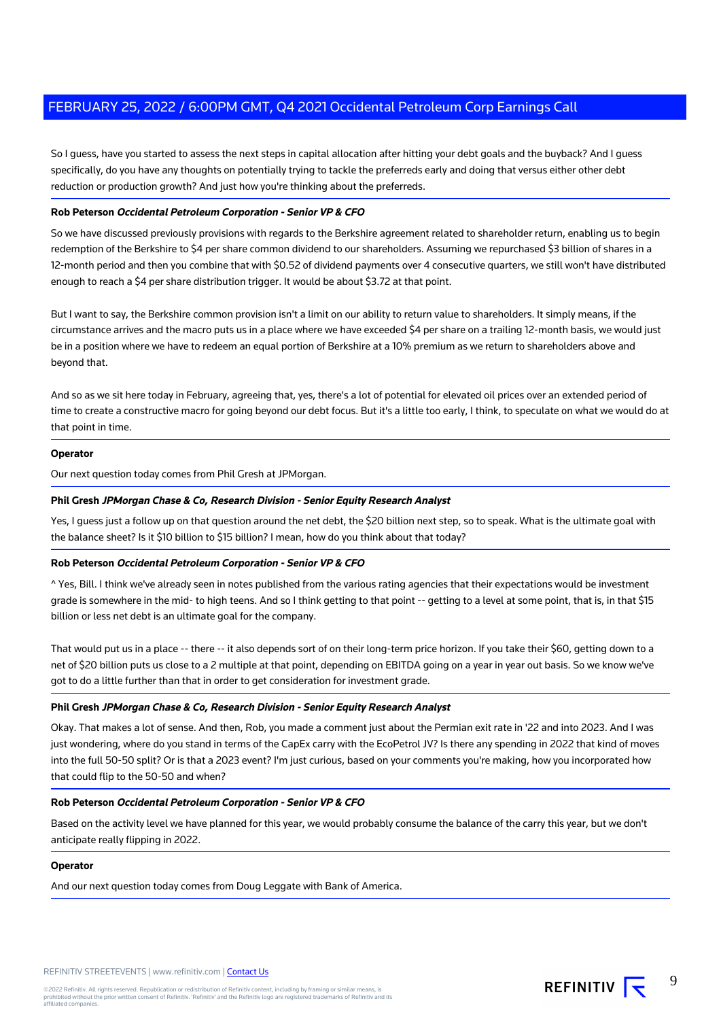So I guess, have you started to assess the next steps in capital allocation after hitting your debt goals and the buyback? And I guess specifically, do you have any thoughts on potentially trying to tackle the preferreds early and doing that versus either other debt reduction or production growth? And just how you're thinking about the preferreds.

# **Rob Peterson Occidental Petroleum Corporation - Senior VP & CFO**

So we have discussed previously provisions with regards to the Berkshire agreement related to shareholder return, enabling us to begin redemption of the Berkshire to \$4 per share common dividend to our shareholders. Assuming we repurchased \$3 billion of shares in a 12-month period and then you combine that with \$0.52 of dividend payments over 4 consecutive quarters, we still won't have distributed enough to reach a \$4 per share distribution trigger. It would be about \$3.72 at that point.

But I want to say, the Berkshire common provision isn't a limit on our ability to return value to shareholders. It simply means, if the circumstance arrives and the macro puts us in a place where we have exceeded \$4 per share on a trailing 12-month basis, we would just be in a position where we have to redeem an equal portion of Berkshire at a 10% premium as we return to shareholders above and beyond that.

And so as we sit here today in February, agreeing that, yes, there's a lot of potential for elevated oil prices over an extended period of time to create a constructive macro for going beyond our debt focus. But it's a little too early, I think, to speculate on what we would do at that point in time.

## **Operator**

Our next question today comes from Phil Gresh at JPMorgan.

## **Phil Gresh JPMorgan Chase & Co, Research Division - Senior Equity Research Analyst**

Yes, I guess just a follow up on that question around the net debt, the \$20 billion next step, so to speak. What is the ultimate goal with the balance sheet? Is it \$10 billion to \$15 billion? I mean, how do you think about that today?

## **Rob Peterson Occidental Petroleum Corporation - Senior VP & CFO**

^ Yes, Bill. I think we've already seen in notes published from the various rating agencies that their expectations would be investment grade is somewhere in the mid- to high teens. And so I think getting to that point -- getting to a level at some point, that is, in that \$15 billion or less net debt is an ultimate goal for the company.

That would put us in a place -- there -- it also depends sort of on their long-term price horizon. If you take their \$60, getting down to a net of \$20 billion puts us close to a 2 multiple at that point, depending on EBITDA going on a year in year out basis. So we know we've got to do a little further than that in order to get consideration for investment grade.

# **Phil Gresh JPMorgan Chase & Co, Research Division - Senior Equity Research Analyst**

Okay. That makes a lot of sense. And then, Rob, you made a comment just about the Permian exit rate in '22 and into 2023. And I was just wondering, where do you stand in terms of the CapEx carry with the EcoPetrol JV? Is there any spending in 2022 that kind of moves into the full 50-50 split? Or is that a 2023 event? I'm just curious, based on your comments you're making, how you incorporated how that could flip to the 50-50 and when?

# **Rob Peterson Occidental Petroleum Corporation - Senior VP & CFO**

Based on the activity level we have planned for this year, we would probably consume the balance of the carry this year, but we don't anticipate really flipping in 2022.

#### **Operator**

And our next question today comes from Doug Leggate with Bank of America.

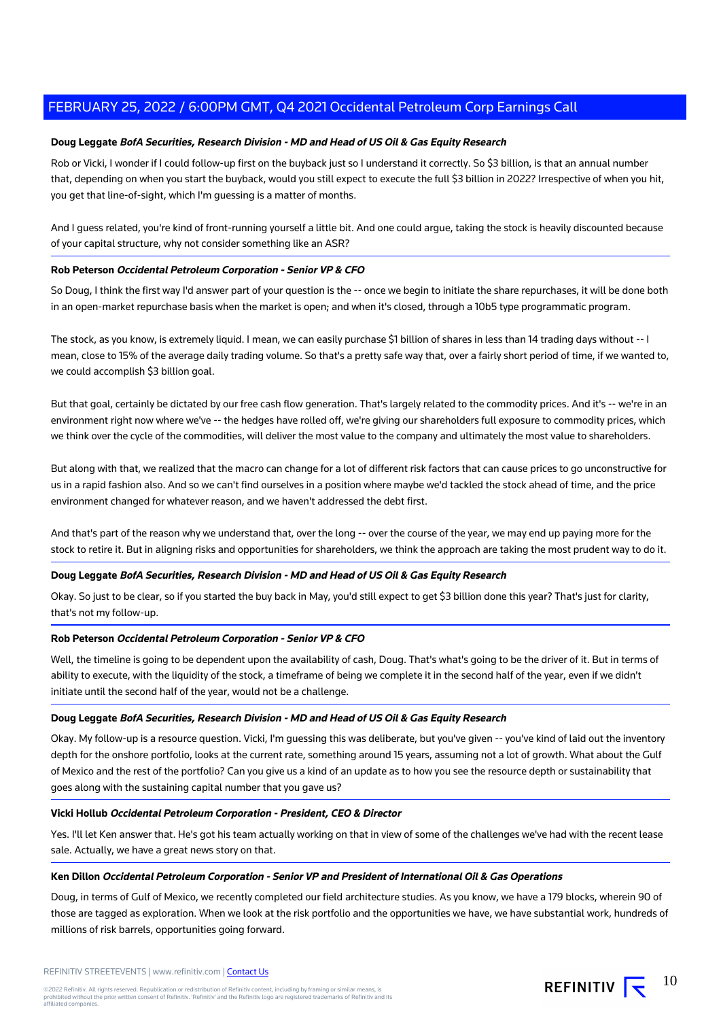# **Doug Leggate BofA Securities, Research Division - MD and Head of US Oil & Gas Equity Research**

Rob or Vicki, I wonder if I could follow-up first on the buyback just so I understand it correctly. So \$3 billion, is that an annual number that, depending on when you start the buyback, would you still expect to execute the full \$3 billion in 2022? Irrespective of when you hit, you get that line-of-sight, which I'm guessing is a matter of months.

And I guess related, you're kind of front-running yourself a little bit. And one could argue, taking the stock is heavily discounted because of your capital structure, why not consider something like an ASR?

## **Rob Peterson Occidental Petroleum Corporation - Senior VP & CFO**

So Doug, I think the first way I'd answer part of your question is the -- once we begin to initiate the share repurchases, it will be done both in an open-market repurchase basis when the market is open; and when it's closed, through a 10b5 type programmatic program.

The stock, as you know, is extremely liquid. I mean, we can easily purchase \$1 billion of shares in less than 14 trading days without -- I mean, close to 15% of the average daily trading volume. So that's a pretty safe way that, over a fairly short period of time, if we wanted to, we could accomplish \$3 billion goal.

But that goal, certainly be dictated by our free cash flow generation. That's largely related to the commodity prices. And it's -- we're in an environment right now where we've -- the hedges have rolled off, we're giving our shareholders full exposure to commodity prices, which we think over the cycle of the commodities, will deliver the most value to the company and ultimately the most value to shareholders.

But along with that, we realized that the macro can change for a lot of different risk factors that can cause prices to go unconstructive for us in a rapid fashion also. And so we can't find ourselves in a position where maybe we'd tackled the stock ahead of time, and the price environment changed for whatever reason, and we haven't addressed the debt first.

And that's part of the reason why we understand that, over the long -- over the course of the year, we may end up paying more for the stock to retire it. But in aligning risks and opportunities for shareholders, we think the approach are taking the most prudent way to do it.

## **Doug Leggate BofA Securities, Research Division - MD and Head of US Oil & Gas Equity Research**

Okay. So just to be clear, so if you started the buy back in May, you'd still expect to get \$3 billion done this year? That's just for clarity, that's not my follow-up.

#### **Rob Peterson Occidental Petroleum Corporation - Senior VP & CFO**

Well, the timeline is going to be dependent upon the availability of cash, Doug. That's what's going to be the driver of it. But in terms of ability to execute, with the liquidity of the stock, a timeframe of being we complete it in the second half of the year, even if we didn't initiate until the second half of the year, would not be a challenge.

#### **Doug Leggate BofA Securities, Research Division - MD and Head of US Oil & Gas Equity Research**

Okay. My follow-up is a resource question. Vicki, I'm guessing this was deliberate, but you've given -- you've kind of laid out the inventory depth for the onshore portfolio, looks at the current rate, something around 15 years, assuming not a lot of growth. What about the Gulf of Mexico and the rest of the portfolio? Can you give us a kind of an update as to how you see the resource depth or sustainability that goes along with the sustaining capital number that you gave us?

#### **Vicki Hollub Occidental Petroleum Corporation - President, CEO & Director**

Yes. I'll let Ken answer that. He's got his team actually working on that in view of some of the challenges we've had with the recent lease sale. Actually, we have a great news story on that.

#### **Ken Dillon Occidental Petroleum Corporation - Senior VP and President of International Oil & Gas Operations**

Doug, in terms of Gulf of Mexico, we recently completed our field architecture studies. As you know, we have a 179 blocks, wherein 90 of those are tagged as exploration. When we look at the risk portfolio and the opportunities we have, we have substantial work, hundreds of millions of risk barrels, opportunities going forward.

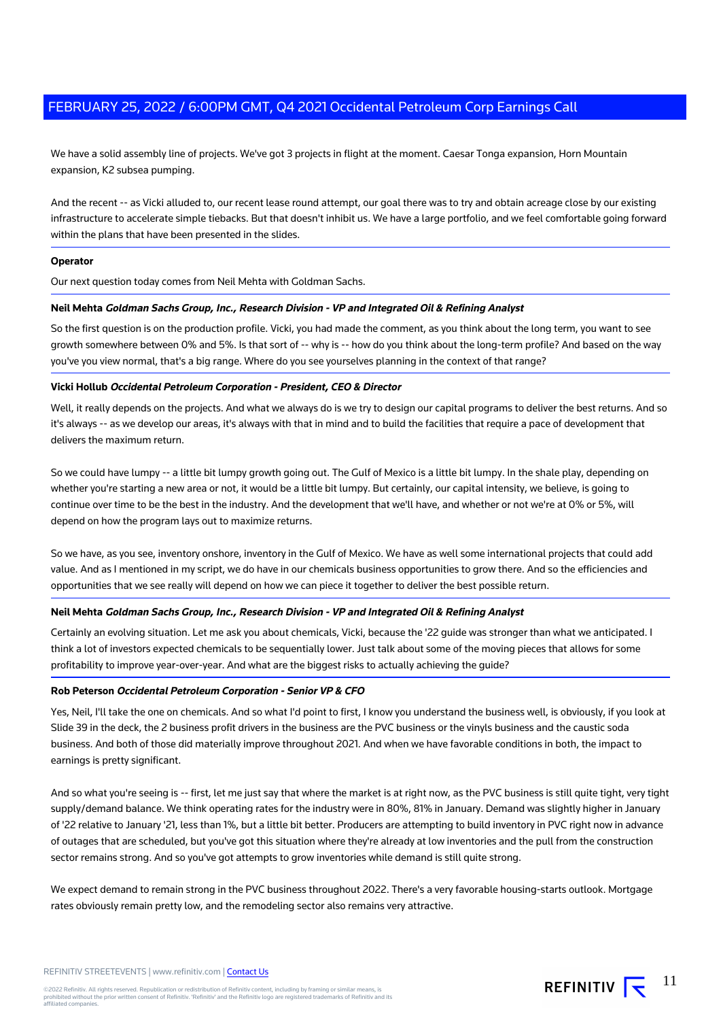We have a solid assembly line of projects. We've got 3 projects in flight at the moment. Caesar Tonga expansion, Horn Mountain expansion, K2 subsea pumping.

And the recent -- as Vicki alluded to, our recent lease round attempt, our goal there was to try and obtain acreage close by our existing infrastructure to accelerate simple tiebacks. But that doesn't inhibit us. We have a large portfolio, and we feel comfortable going forward within the plans that have been presented in the slides.

#### **Operator**

Our next question today comes from Neil Mehta with Goldman Sachs.

## **Neil Mehta Goldman Sachs Group, Inc., Research Division - VP and Integrated Oil & Refining Analyst**

So the first question is on the production profile. Vicki, you had made the comment, as you think about the long term, you want to see growth somewhere between 0% and 5%. Is that sort of -- why is -- how do you think about the long-term profile? And based on the way you've you view normal, that's a big range. Where do you see yourselves planning in the context of that range?

## **Vicki Hollub Occidental Petroleum Corporation - President, CEO & Director**

Well, it really depends on the projects. And what we always do is we try to design our capital programs to deliver the best returns. And so it's always -- as we develop our areas, it's always with that in mind and to build the facilities that require a pace of development that delivers the maximum return.

So we could have lumpy -- a little bit lumpy growth going out. The Gulf of Mexico is a little bit lumpy. In the shale play, depending on whether you're starting a new area or not, it would be a little bit lumpy. But certainly, our capital intensity, we believe, is going to continue over time to be the best in the industry. And the development that we'll have, and whether or not we're at 0% or 5%, will depend on how the program lays out to maximize returns.

So we have, as you see, inventory onshore, inventory in the Gulf of Mexico. We have as well some international projects that could add value. And as I mentioned in my script, we do have in our chemicals business opportunities to grow there. And so the efficiencies and opportunities that we see really will depend on how we can piece it together to deliver the best possible return.

# **Neil Mehta Goldman Sachs Group, Inc., Research Division - VP and Integrated Oil & Refining Analyst**

Certainly an evolving situation. Let me ask you about chemicals, Vicki, because the '22 guide was stronger than what we anticipated. I think a lot of investors expected chemicals to be sequentially lower. Just talk about some of the moving pieces that allows for some profitability to improve year-over-year. And what are the biggest risks to actually achieving the guide?

#### **Rob Peterson Occidental Petroleum Corporation - Senior VP & CFO**

Yes, Neil, I'll take the one on chemicals. And so what I'd point to first, I know you understand the business well, is obviously, if you look at Slide 39 in the deck, the 2 business profit drivers in the business are the PVC business or the vinyls business and the caustic soda business. And both of those did materially improve throughout 2021. And when we have favorable conditions in both, the impact to earnings is pretty significant.

And so what you're seeing is -- first, let me just say that where the market is at right now, as the PVC business is still quite tight, very tight supply/demand balance. We think operating rates for the industry were in 80%, 81% in January. Demand was slightly higher in January of '22 relative to January '21, less than 1%, but a little bit better. Producers are attempting to build inventory in PVC right now in advance of outages that are scheduled, but you've got this situation where they're already at low inventories and the pull from the construction sector remains strong. And so you've got attempts to grow inventories while demand is still quite strong.

We expect demand to remain strong in the PVC business throughout 2022. There's a very favorable housing-starts outlook. Mortgage rates obviously remain pretty low, and the remodeling sector also remains very attractive.

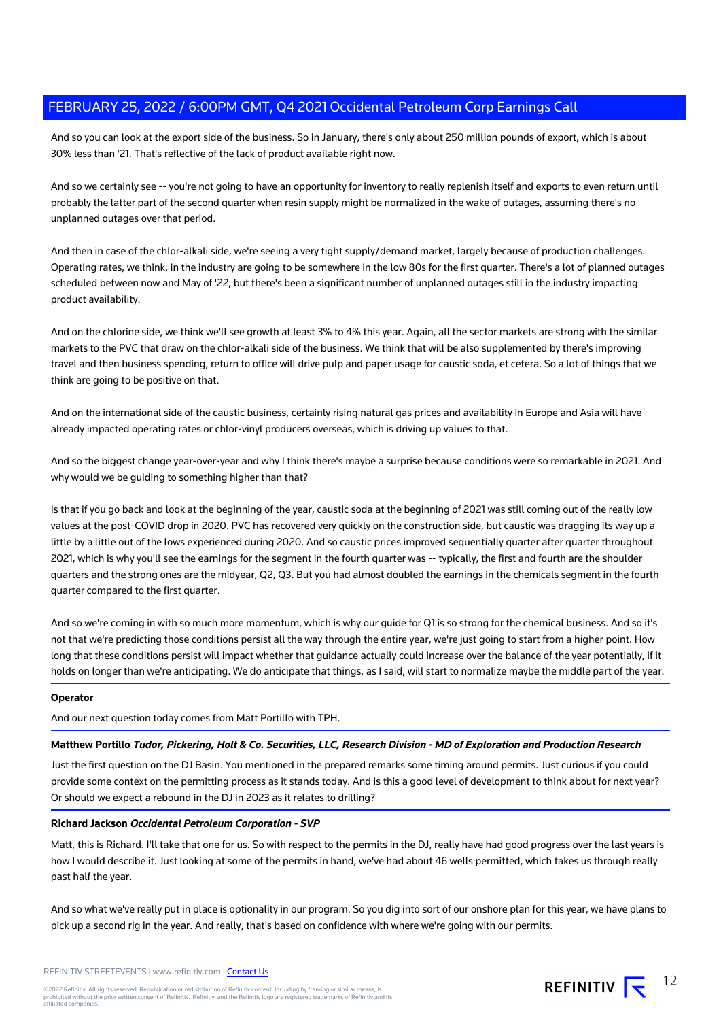And so you can look at the export side of the business. So in January, there's only about 250 million pounds of export, which is about 30% less than '21. That's reflective of the lack of product available right now.

And so we certainly see -- you're not going to have an opportunity for inventory to really replenish itself and exports to even return until probably the latter part of the second quarter when resin supply might be normalized in the wake of outages, assuming there's no unplanned outages over that period.

And then in case of the chlor-alkali side, we're seeing a very tight supply/demand market, largely because of production challenges. Operating rates, we think, in the industry are going to be somewhere in the low 80s for the first quarter. There's a lot of planned outages scheduled between now and May of '22, but there's been a significant number of unplanned outages still in the industry impacting product availability.

And on the chlorine side, we think we'll see growth at least 3% to 4% this year. Again, all the sector markets are strong with the similar markets to the PVC that draw on the chlor-alkali side of the business. We think that will be also supplemented by there's improving travel and then business spending, return to office will drive pulp and paper usage for caustic soda, et cetera. So a lot of things that we think are going to be positive on that.

And on the international side of the caustic business, certainly rising natural gas prices and availability in Europe and Asia will have already impacted operating rates or chlor-vinyl producers overseas, which is driving up values to that.

And so the biggest change year-over-year and why I think there's maybe a surprise because conditions were so remarkable in 2021. And why would we be guiding to something higher than that?

Is that if you go back and look at the beginning of the year, caustic soda at the beginning of 2021 was still coming out of the really low values at the post-COVID drop in 2020. PVC has recovered very quickly on the construction side, but caustic was dragging its way up a little by a little out of the lows experienced during 2020. And so caustic prices improved sequentially quarter after quarter throughout 2021, which is why you'll see the earnings for the segment in the fourth quarter was -- typically, the first and fourth are the shoulder quarters and the strong ones are the midyear, Q2, Q3. But you had almost doubled the earnings in the chemicals segment in the fourth quarter compared to the first quarter.

And so we're coming in with so much more momentum, which is why our guide for Q1 is so strong for the chemical business. And so it's not that we're predicting those conditions persist all the way through the entire year, we're just going to start from a higher point. How long that these conditions persist will impact whether that guidance actually could increase over the balance of the year potentially, if it holds on longer than we're anticipating. We do anticipate that things, as I said, will start to normalize maybe the middle part of the year.

## **Operator**

And our next question today comes from Matt Portillo with TPH.

#### **Matthew Portillo Tudor, Pickering, Holt & Co. Securities, LLC, Research Division - MD of Exploration and Production Research**

Just the first question on the DJ Basin. You mentioned in the prepared remarks some timing around permits. Just curious if you could provide some context on the permitting process as it stands today. And is this a good level of development to think about for next year? Or should we expect a rebound in the DJ in 2023 as it relates to drilling?

#### **Richard Jackson Occidental Petroleum Corporation - SVP**

Matt, this is Richard. I'll take that one for us. So with respect to the permits in the DJ, really have had good progress over the last years is how I would describe it. Just looking at some of the permits in hand, we've had about 46 wells permitted, which takes us through really past half the year.

And so what we've really put in place is optionality in our program. So you dig into sort of our onshore plan for this year, we have plans to pick up a second rig in the year. And really, that's based on confidence with where we're going with our permits.

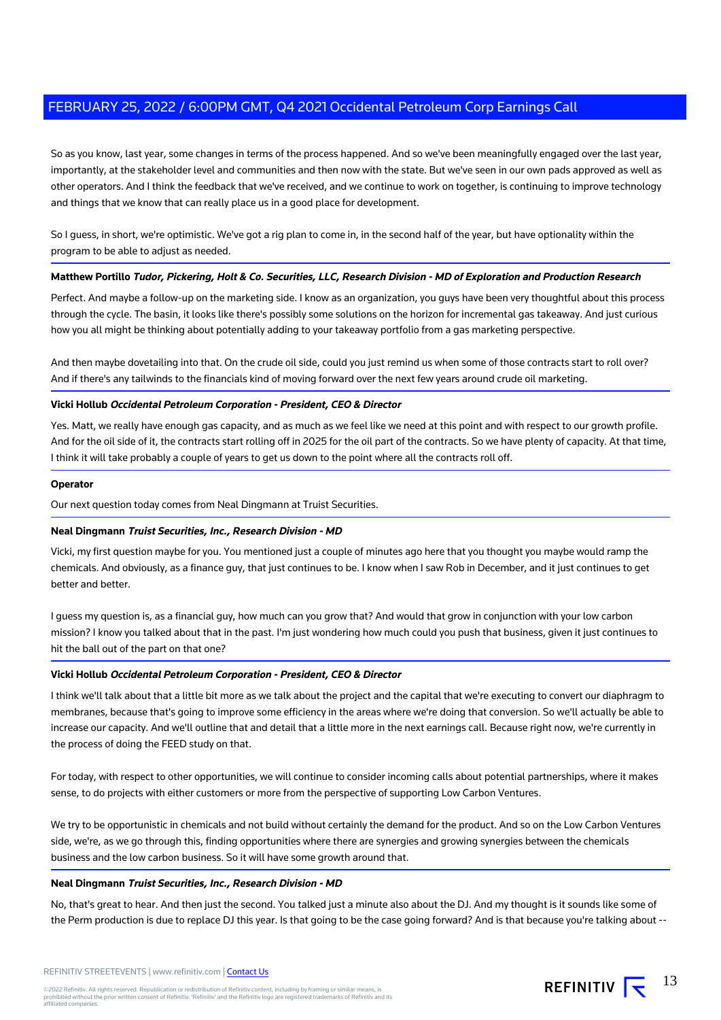So as you know, last year, some changes in terms of the process happened. And so we've been meaningfully engaged over the last year, importantly, at the stakeholder level and communities and then now with the state. But we've seen in our own pads approved as well as other operators. And I think the feedback that we've received, and we continue to work on together, is continuing to improve technology and things that we know that can really place us in a good place for development.

So I guess, in short, we're optimistic. We've got a rig plan to come in, in the second half of the year, but have optionality within the program to be able to adjust as needed.

## **Matthew Portillo Tudor, Pickering, Holt & Co. Securities, LLC, Research Division - MD of Exploration and Production Research**

Perfect. And maybe a follow-up on the marketing side. I know as an organization, you guys have been very thoughtful about this process through the cycle. The basin, it looks like there's possibly some solutions on the horizon for incremental gas takeaway. And just curious how you all might be thinking about potentially adding to your takeaway portfolio from a gas marketing perspective.

And then maybe dovetailing into that. On the crude oil side, could you just remind us when some of those contracts start to roll over? And if there's any tailwinds to the financials kind of moving forward over the next few years around crude oil marketing.

#### **Vicki Hollub Occidental Petroleum Corporation - President, CEO & Director**

Yes. Matt, we really have enough gas capacity, and as much as we feel like we need at this point and with respect to our growth profile. And for the oil side of it, the contracts start rolling off in 2025 for the oil part of the contracts. So we have plenty of capacity. At that time, I think it will take probably a couple of years to get us down to the point where all the contracts roll off.

#### **Operator**

Our next question today comes from Neal Dingmann at Truist Securities.

#### **Neal Dingmann Truist Securities, Inc., Research Division - MD**

Vicki, my first question maybe for you. You mentioned just a couple of minutes ago here that you thought you maybe would ramp the chemicals. And obviously, as a finance guy, that just continues to be. I know when I saw Rob in December, and it just continues to get better and better.

I guess my question is, as a financial guy, how much can you grow that? And would that grow in conjunction with your low carbon mission? I know you talked about that in the past. I'm just wondering how much could you push that business, given it just continues to hit the ball out of the part on that one?

# **Vicki Hollub Occidental Petroleum Corporation - President, CEO & Director**

I think we'll talk about that a little bit more as we talk about the project and the capital that we're executing to convert our diaphragm to membranes, because that's going to improve some efficiency in the areas where we're doing that conversion. So we'll actually be able to increase our capacity. And we'll outline that and detail that a little more in the next earnings call. Because right now, we're currently in the process of doing the FEED study on that.

For today, with respect to other opportunities, we will continue to consider incoming calls about potential partnerships, where it makes sense, to do projects with either customers or more from the perspective of supporting Low Carbon Ventures.

We try to be opportunistic in chemicals and not build without certainly the demand for the product. And so on the Low Carbon Ventures side, we're, as we go through this, finding opportunities where there are synergies and growing synergies between the chemicals business and the low carbon business. So it will have some growth around that.

## **Neal Dingmann Truist Securities, Inc., Research Division - MD**

No, that's great to hear. And then just the second. You talked just a minute also about the DJ. And my thought is it sounds like some of the Perm production is due to replace DJ this year. Is that going to be the case going forward? And is that because you're talking about --

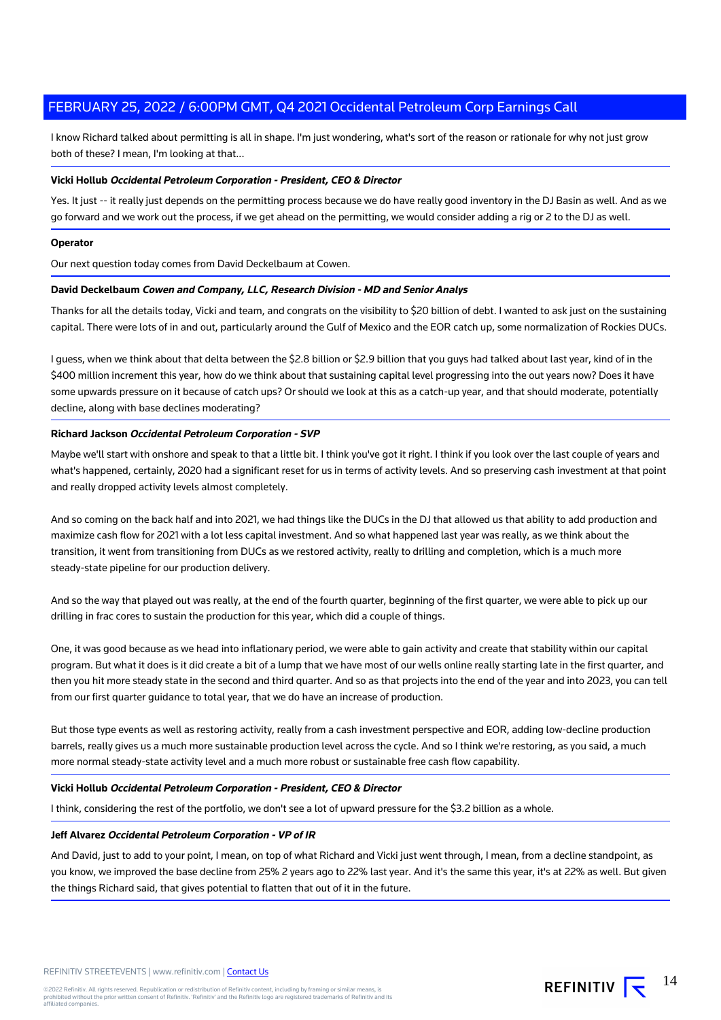I know Richard talked about permitting is all in shape. I'm just wondering, what's sort of the reason or rationale for why not just grow both of these? I mean, I'm looking at that...

## **Vicki Hollub Occidental Petroleum Corporation - President, CEO & Director**

Yes. It just -- it really just depends on the permitting process because we do have really good inventory in the DJ Basin as well. And as we go forward and we work out the process, if we get ahead on the permitting, we would consider adding a rig or 2 to the DJ as well.

## **Operator**

Our next question today comes from David Deckelbaum at Cowen.

# **David Deckelbaum Cowen and Company, LLC, Research Division - MD and Senior Analys**

Thanks for all the details today, Vicki and team, and congrats on the visibility to \$20 billion of debt. I wanted to ask just on the sustaining capital. There were lots of in and out, particularly around the Gulf of Mexico and the EOR catch up, some normalization of Rockies DUCs.

I guess, when we think about that delta between the \$2.8 billion or \$2.9 billion that you guys had talked about last year, kind of in the \$400 million increment this year, how do we think about that sustaining capital level progressing into the out years now? Does it have some upwards pressure on it because of catch ups? Or should we look at this as a catch-up year, and that should moderate, potentially decline, along with base declines moderating?

## **Richard Jackson Occidental Petroleum Corporation - SVP**

Maybe we'll start with onshore and speak to that a little bit. I think you've got it right. I think if you look over the last couple of years and what's happened, certainly, 2020 had a significant reset for us in terms of activity levels. And so preserving cash investment at that point and really dropped activity levels almost completely.

And so coming on the back half and into 2021, we had things like the DUCs in the DJ that allowed us that ability to add production and maximize cash flow for 2021 with a lot less capital investment. And so what happened last year was really, as we think about the transition, it went from transitioning from DUCs as we restored activity, really to drilling and completion, which is a much more steady-state pipeline for our production delivery.

And so the way that played out was really, at the end of the fourth quarter, beginning of the first quarter, we were able to pick up our drilling in frac cores to sustain the production for this year, which did a couple of things.

One, it was good because as we head into inflationary period, we were able to gain activity and create that stability within our capital program. But what it does is it did create a bit of a lump that we have most of our wells online really starting late in the first quarter, and then you hit more steady state in the second and third quarter. And so as that projects into the end of the year and into 2023, you can tell from our first quarter guidance to total year, that we do have an increase of production.

But those type events as well as restoring activity, really from a cash investment perspective and EOR, adding low-decline production barrels, really gives us a much more sustainable production level across the cycle. And so I think we're restoring, as you said, a much more normal steady-state activity level and a much more robust or sustainable free cash flow capability.

#### **Vicki Hollub Occidental Petroleum Corporation - President, CEO & Director**

I think, considering the rest of the portfolio, we don't see a lot of upward pressure for the \$3.2 billion as a whole.

## **Jeff Alvarez Occidental Petroleum Corporation - VP of IR**

And David, just to add to your point, I mean, on top of what Richard and Vicki just went through, I mean, from a decline standpoint, as you know, we improved the base decline from 25% 2 years ago to 22% last year. And it's the same this year, it's at 22% as well. But given the things Richard said, that gives potential to flatten that out of it in the future.

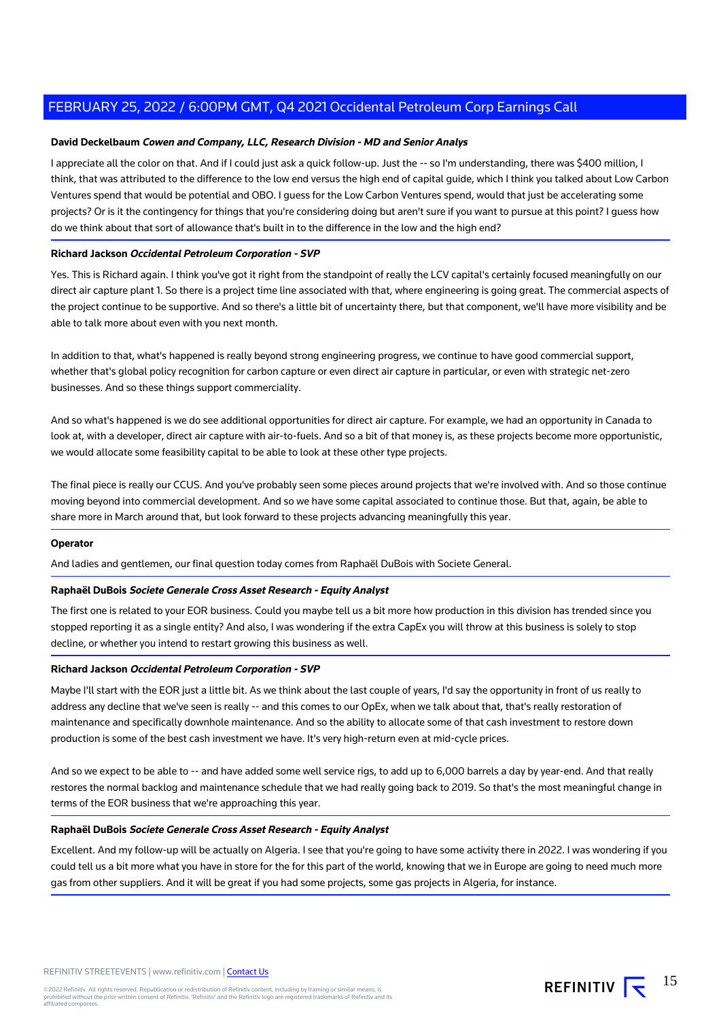## **David Deckelbaum Cowen and Company, LLC, Research Division - MD and Senior Analys**

I appreciate all the color on that. And if I could just ask a quick follow-up. Just the -- so I'm understanding, there was \$400 million, I think, that was attributed to the difference to the low end versus the high end of capital guide, which I think you talked about Low Carbon Ventures spend that would be potential and OBO. I guess for the Low Carbon Ventures spend, would that just be accelerating some projects? Or is it the contingency for things that you're considering doing but aren't sure if you want to pursue at this point? I guess how do we think about that sort of allowance that's built in to the difference in the low and the high end?

#### **Richard Jackson Occidental Petroleum Corporation - SVP**

Yes. This is Richard again. I think you've got it right from the standpoint of really the LCV capital's certainly focused meaningfully on our direct air capture plant 1. So there is a project time line associated with that, where engineering is going great. The commercial aspects of the project continue to be supportive. And so there's a little bit of uncertainty there, but that component, we'll have more visibility and be able to talk more about even with you next month.

In addition to that, what's happened is really beyond strong engineering progress, we continue to have good commercial support, whether that's global policy recognition for carbon capture or even direct air capture in particular, or even with strategic net-zero businesses. And so these things support commerciality.

And so what's happened is we do see additional opportunities for direct air capture. For example, we had an opportunity in Canada to look at, with a developer, direct air capture with air-to-fuels. And so a bit of that money is, as these projects become more opportunistic, we would allocate some feasibility capital to be able to look at these other type projects.

The final piece is really our CCUS. And you've probably seen some pieces around projects that we're involved with. And so those continue moving beyond into commercial development. And so we have some capital associated to continue those. But that, again, be able to share more in March around that, but look forward to these projects advancing meaningfully this year.

#### **Operator**

And ladies and gentlemen, our final question today comes from Raphaël DuBois with Societe General.

#### **Raphaël DuBois Societe Generale Cross Asset Research - Equity Analyst**

The first one is related to your EOR business. Could you maybe tell us a bit more how production in this division has trended since you stopped reporting it as a single entity? And also, I was wondering if the extra CapEx you will throw at this business is solely to stop decline, or whether you intend to restart growing this business as well.

## **Richard Jackson Occidental Petroleum Corporation - SVP**

Maybe I'll start with the EOR just a little bit. As we think about the last couple of years, I'd say the opportunity in front of us really to address any decline that we've seen is really -- and this comes to our OpEx, when we talk about that, that's really restoration of maintenance and specifically downhole maintenance. And so the ability to allocate some of that cash investment to restore down production is some of the best cash investment we have. It's very high-return even at mid-cycle prices.

And so we expect to be able to -- and have added some well service rigs, to add up to 6,000 barrels a day by year-end. And that really restores the normal backlog and maintenance schedule that we had really going back to 2019. So that's the most meaningful change in terms of the EOR business that we're approaching this year.

## **Raphaël DuBois Societe Generale Cross Asset Research - Equity Analyst**

Excellent. And my follow-up will be actually on Algeria. I see that you're going to have some activity there in 2022. I was wondering if you could tell us a bit more what you have in store for the for this part of the world, knowing that we in Europe are going to need much more gas from other suppliers. And it will be great if you had some projects, some gas projects in Algeria, for instance.